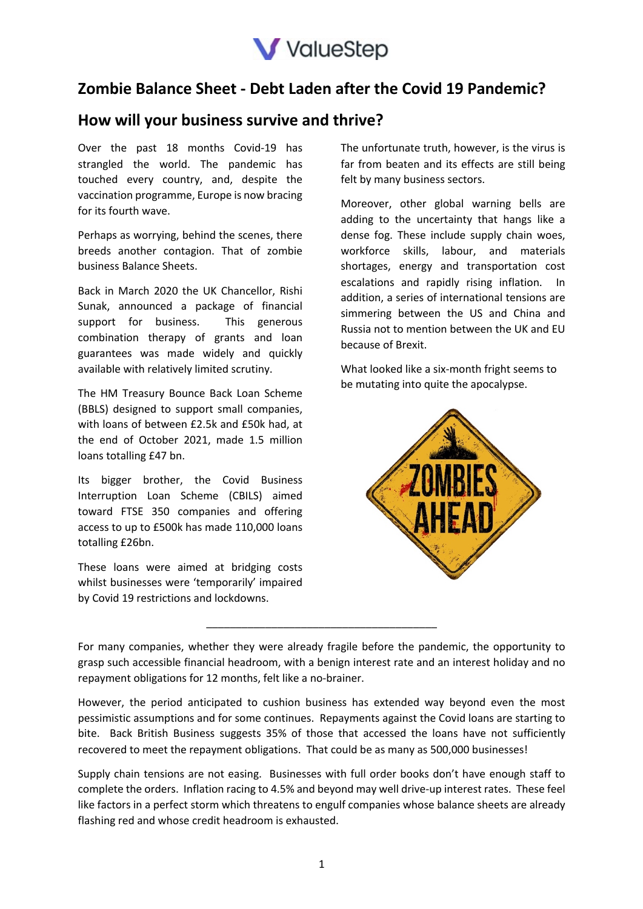

# **Zombie Balance Sheet - Debt Laden after the Covid 19 Pandemic?**

## **How will your business survive and thrive?**

Over the past 18 months Covid-19 has strangled the world. The pandemic has touched every country, and, despite the vaccination programme, Europe is now bracing for its fourth wave.

Perhaps as worrying, behind the scenes, there breeds another contagion. That of zombie business Balance Sheets.

Back in March 2020 the UK Chancellor, Rishi Sunak, announced a package of financial support for business. This generous combination therapy of grants and loan guarantees was made widely and quickly available with relatively limited scrutiny.

The HM Treasury Bounce Back Loan Scheme (BBLS) designed to support small companies, with loans of between £2.5k and £50k had, at the end of October 2021, made 1.5 million loans totalling £47 bn.

Its bigger brother, the Covid Business Interruption Loan Scheme (CBILS) aimed toward FTSE 350 companies and offering access to up to £500k has made 110,000 loans totalling £26bn.

These loans were aimed at bridging costs whilst businesses were 'temporarily' impaired by Covid 19 restrictions and lockdowns.

The unfortunate truth, however, is the virus is far from beaten and its effects are still being felt by many business sectors.

Moreover, other global warning bells are adding to the uncertainty that hangs like a dense fog. These include supply chain woes, workforce skills, labour, and materials shortages, energy and transportation cost escalations and rapidly rising inflation. In addition, a series of international tensions are simmering between the US and China and Russia not to mention between the UK and EU because of Brexit.

What looked like a six-month fright seems to be mutating into quite the apocalypse.



\_\_\_\_\_\_\_\_\_\_\_\_\_\_\_\_\_\_\_\_\_\_\_\_\_\_\_\_\_\_\_\_\_\_\_\_\_\_\_

However, the period anticipated to cushion business has extended way beyond even the most pessimistic assumptions and for some continues. Repayments against the Covid loans are starting to bite. Back British Business suggests 35% of those that accessed the loans have not sufficiently recovered to meet the repayment obligations. That could be as many as 500,000 businesses!

Supply chain tensions are not easing. Businesses with full order books don't have enough staff to complete the orders. Inflation racing to 4.5% and beyond may well drive-up interest rates. These feel like factors in a perfect storm which threatens to engulf companies whose balance sheets are already flashing red and whose credit headroom is exhausted.

For many companies, whether they were already fragile before the pandemic, the opportunity to grasp such accessible financial headroom, with a benign interest rate and an interest holiday and no repayment obligations for 12 months, felt like a no-brainer.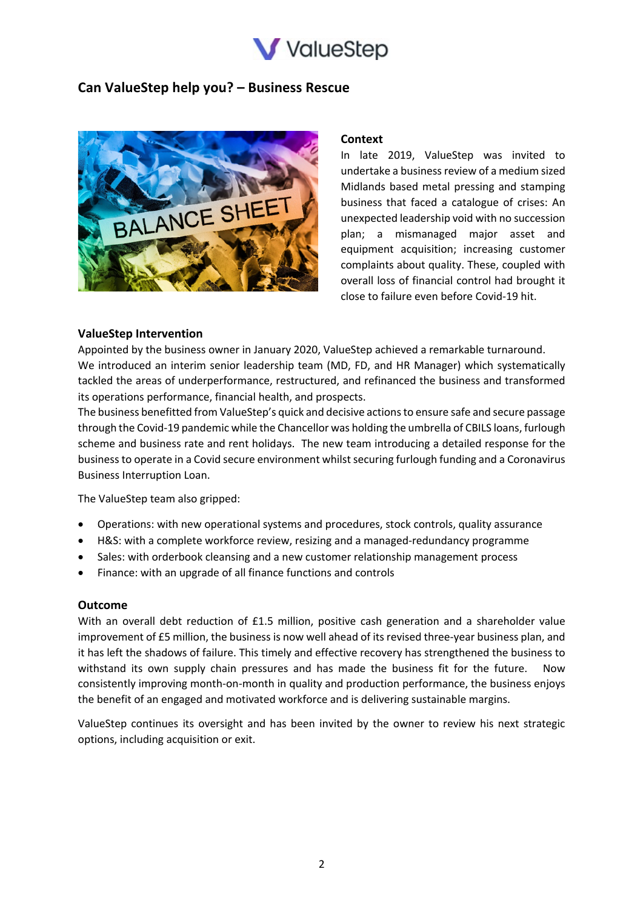

### **Can ValueStep help you? – Business Rescue**



#### **Context**

In late 2019, ValueStep was invited to undertake a business review of a medium sized Midlands based metal pressing and stamping business that faced a catalogue of crises: An unexpected leadership void with no succession plan; a mismanaged major asset and equipment acquisition; increasing customer complaints about quality. These, coupled with overall loss of financial control had brought it close to failure even before Covid-19 hit.

### **ValueStep Intervention**

Appointed by the business owner in January 2020, ValueStep achieved a remarkable turnaround. We introduced an interim senior leadership team (MD, FD, and HR Manager) which systematically tackled the areas of underperformance, restructured, and refinanced the business and transformed its operations performance, financial health, and prospects.

The business benefitted from ValueStep's quick and decisive actions to ensure safe and secure passage through the Covid-19 pandemic while the Chancellor was holding the umbrella of CBILS loans, furlough scheme and business rate and rent holidays. The new team introducing a detailed response for the business to operate in a Covid secure environment whilst securing furlough funding and a Coronavirus Business Interruption Loan.

The ValueStep team also gripped:

- Operations: with new operational systems and procedures, stock controls, quality assurance
- H&S: with a complete workforce review, resizing and a managed-redundancy programme
- Sales: with orderbook cleansing and a new customer relationship management process
- Finance: with an upgrade of all finance functions and controls

#### **Outcome**

With an overall debt reduction of £1.5 million, positive cash generation and a shareholder value improvement of £5 million, the business is now well ahead of its revised three-year business plan, and it has left the shadows of failure. This timely and effective recovery has strengthened the business to withstand its own supply chain pressures and has made the business fit for the future. Now consistently improving month-on-month in quality and production performance, the business enjoys the benefit of an engaged and motivated workforce and is delivering sustainable margins.

ValueStep continues its oversight and has been invited by the owner to review his next strategic options, including acquisition or exit.